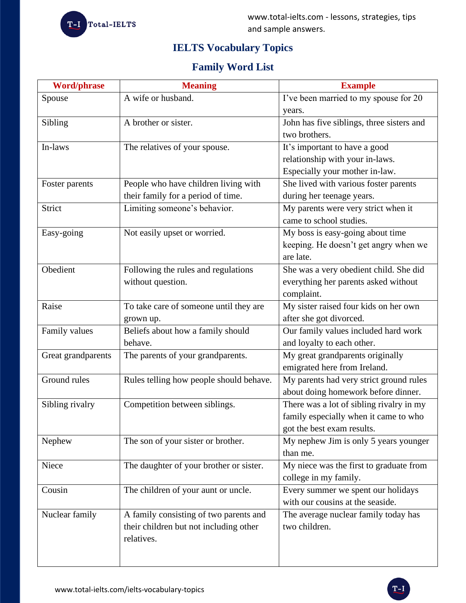

# **IELTS Vocabulary Topics**

## **Family Word List**

| <b>Word/phrase</b> | <b>Meaning</b>                          | <b>Example</b>                            |
|--------------------|-----------------------------------------|-------------------------------------------|
| Spouse             | A wife or husband.                      | I've been married to my spouse for 20     |
|                    |                                         | years.                                    |
| Sibling            | A brother or sister.                    | John has five siblings, three sisters and |
|                    |                                         | two brothers.                             |
| In-laws            | The relatives of your spouse.           | It's important to have a good             |
|                    |                                         | relationship with your in-laws.           |
|                    |                                         | Especially your mother in-law.            |
| Foster parents     | People who have children living with    | She lived with various foster parents     |
|                    | their family for a period of time.      | during her teenage years.                 |
| Strict             | Limiting someone's behavior.            | My parents were very strict when it       |
|                    |                                         | came to school studies.                   |
| Easy-going         | Not easily upset or worried.            | My boss is easy-going about time          |
|                    |                                         | keeping. He doesn't get angry when we     |
|                    |                                         | are late.                                 |
| Obedient           | Following the rules and regulations     | She was a very obedient child. She did    |
|                    | without question.                       | everything her parents asked without      |
|                    |                                         | complaint.                                |
| Raise              | To take care of someone until they are  | My sister raised four kids on her own     |
|                    | grown up.                               | after she got divorced.                   |
| Family values      | Beliefs about how a family should       | Our family values included hard work      |
|                    | behave.                                 | and loyalty to each other.                |
| Great grandparents | The parents of your grandparents.       | My great grandparents originally          |
|                    |                                         | emigrated here from Ireland.              |
| Ground rules       | Rules telling how people should behave. | My parents had very strict ground rules   |
|                    |                                         | about doing homework before dinner.       |
| Sibling rivalry    | Competition between siblings.           | There was a lot of sibling rivalry in my  |
|                    |                                         | family especially when it came to who     |
|                    |                                         | got the best exam results.                |
| Nephew             | The son of your sister or brother.      | My nephew Jim is only 5 years younger     |
|                    |                                         | than me.                                  |
| Niece              | The daughter of your brother or sister. | My niece was the first to graduate from   |
|                    |                                         | college in my family.                     |
| Cousin             | The children of your aunt or uncle.     | Every summer we spent our holidays        |
|                    |                                         | with our cousins at the seaside.          |
| Nuclear family     | A family consisting of two parents and  | The average nuclear family today has      |
|                    | their children but not including other  | two children.                             |
|                    | relatives.                              |                                           |
|                    |                                         |                                           |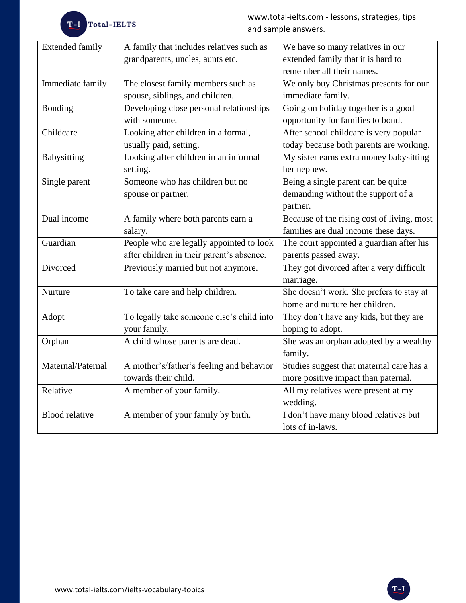| <b>Extended family</b> | A family that includes relatives such as  | We have so many relatives in our           |
|------------------------|-------------------------------------------|--------------------------------------------|
|                        | grandparents, uncles, aunts etc.          | extended family that it is hard to         |
|                        |                                           | remember all their names.                  |
| Immediate family       | The closest family members such as        | We only buy Christmas presents for our     |
|                        | spouse, siblings, and children.           | immediate family.                          |
| <b>Bonding</b>         | Developing close personal relationships   | Going on holiday together is a good        |
|                        | with someone.                             | opportunity for families to bond.          |
| Childcare              | Looking after children in a formal,       | After school childcare is very popular     |
|                        | usually paid, setting.                    | today because both parents are working.    |
| <b>Babysitting</b>     | Looking after children in an informal     | My sister earns extra money babysitting    |
|                        | setting.                                  | her nephew.                                |
| Single parent          | Someone who has children but no           | Being a single parent can be quite         |
|                        | spouse or partner.                        | demanding without the support of a         |
|                        |                                           | partner.                                   |
| Dual income            | A family where both parents earn a        | Because of the rising cost of living, most |
|                        | salary.                                   | families are dual income these days.       |
| Guardian               | People who are legally appointed to look  | The court appointed a guardian after his   |
|                        | after children in their parent's absence. | parents passed away.                       |
| Divorced               | Previously married but not anymore.       | They got divorced after a very difficult   |
|                        |                                           | marriage.                                  |
| Nurture                | To take care and help children.           | She doesn't work. She prefers to stay at   |
|                        |                                           | home and nurture her children.             |
| Adopt                  | To legally take someone else's child into | They don't have any kids, but they are     |
|                        | your family.                              | hoping to adopt.                           |
| Orphan                 | A child whose parents are dead.           | She was an orphan adopted by a wealthy     |
|                        |                                           | family.                                    |
| Maternal/Paternal      | A mother's/father's feeling and behavior  | Studies suggest that maternal care has a   |
|                        | towards their child.                      | more positive impact than paternal.        |
| Relative               | A member of your family.                  | All my relatives were present at my        |
|                        |                                           | wedding.                                   |
| <b>Blood relative</b>  | A member of your family by birth.         | I don't have many blood relatives but      |
|                        |                                           | lots of in-laws.                           |